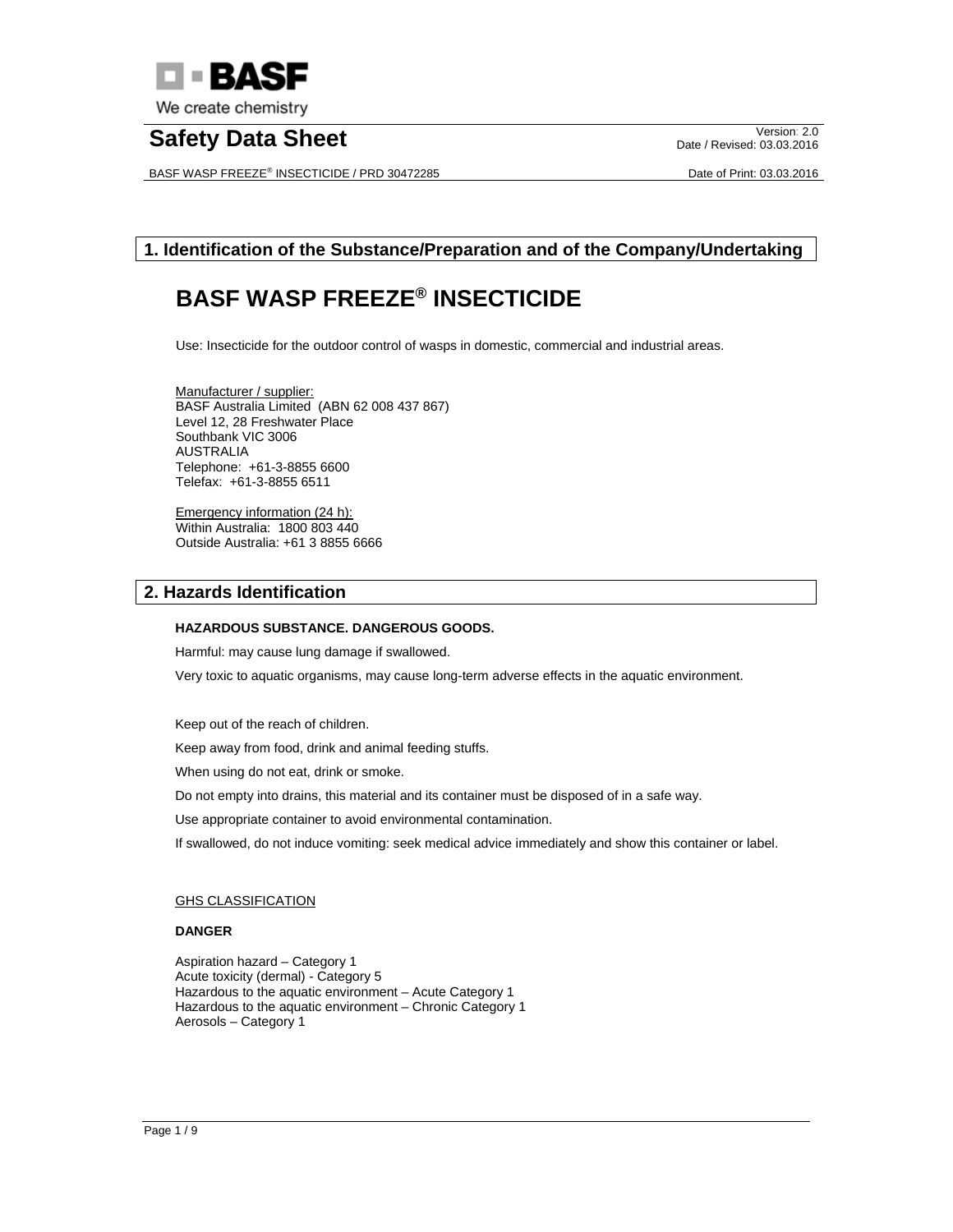

# **Safety Data Sheet** Version: 2.0

BASF WASP FREEZE® INSECTICIDE / PRD 30472285 Date of Print: 03.03.2016

Date / Revised: 03.03.2016

## **1. Identification of the Substance/Preparation and of the Company/Undertaking**

## **BASF WASP FREEZE® INSECTICIDE**

Use: Insecticide for the outdoor control of wasps in domestic, commercial and industrial areas.

Manufacturer / supplier: BASF Australia Limited (ABN 62 008 437 867) Level 12, 28 Freshwater Place Southbank VIC 3006 AUSTRALIA Telephone: +61-3-8855 6600 Telefax: +61-3-8855 6511

Emergency information (24 h): Within Australia: 1800 803 440 Outside Australia: +61 3 8855 6666

## **2. Hazards Identification**

#### **HAZARDOUS SUBSTANCE. DANGEROUS GOODS.**

Harmful: may cause lung damage if swallowed.

Very toxic to aquatic organisms, may cause long-term adverse effects in the aquatic environment.

Keep out of the reach of children.

Keep away from food, drink and animal feeding stuffs.

When using do not eat, drink or smoke.

Do not empty into drains, this material and its container must be disposed of in a safe way.

Use appropriate container to avoid environmental contamination.

If swallowed, do not induce vomiting: seek medical advice immediately and show this container or label.

#### GHS CLASSIFICATION

#### **DANGER**

Aspiration hazard – Category 1 Acute toxicity (dermal) - Category 5 Hazardous to the aquatic environment – Acute Category 1 Hazardous to the aquatic environment – Chronic Category 1 Aerosols – Category 1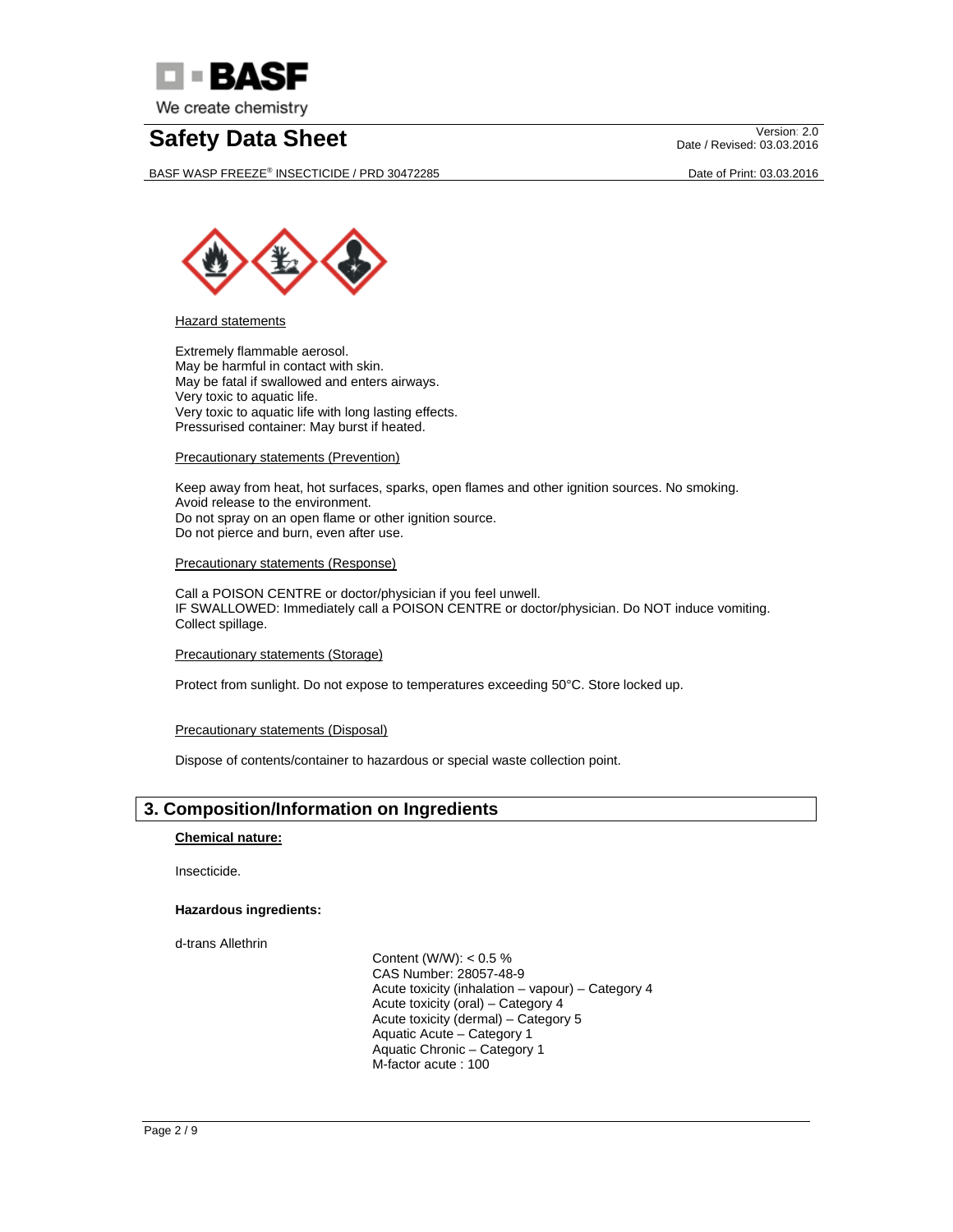

BASF WASP FREEZE® INSECTICIDE / PRD 30472285 Date of Print: 03.03.2016

Date / Revised: 03.03.2016



Hazard statements

Extremely flammable aerosol. May be harmful in contact with skin. May be fatal if swallowed and enters airways. Very toxic to aquatic life. Very toxic to aquatic life with long lasting effects. Pressurised container: May burst if heated.

Precautionary statements (Prevention)

Keep away from heat, hot surfaces, sparks, open flames and other ignition sources. No smoking. Avoid release to the environment. Do not spray on an open flame or other ignition source. Do not pierce and burn, even after use.

Precautionary statements (Response)

Call a POISON CENTRE or doctor/physician if you feel unwell. IF SWALLOWED: Immediately call a POISON CENTRE or doctor/physician. Do NOT induce vomiting. Collect spillage.

Precautionary statements (Storage)

Protect from sunlight. Do not expose to temperatures exceeding 50°C. Store locked up.

#### Precautionary statements (Disposal)

Dispose of contents/container to hazardous or special waste collection point.

### **3. Composition/Information on Ingredients**

**Chemical nature:** 

Insecticide.

### **Hazardous ingredients:**

d-trans Allethrin

 Content (W/W): < 0.5 % CAS Number: 28057-48-9 Acute toxicity (inhalation – vapour) – Category 4 Acute toxicity (oral) – Category 4 Acute toxicity (dermal) – Category 5 Aquatic Acute – Category 1 Aquatic Chronic – Category 1 M-factor acute : 100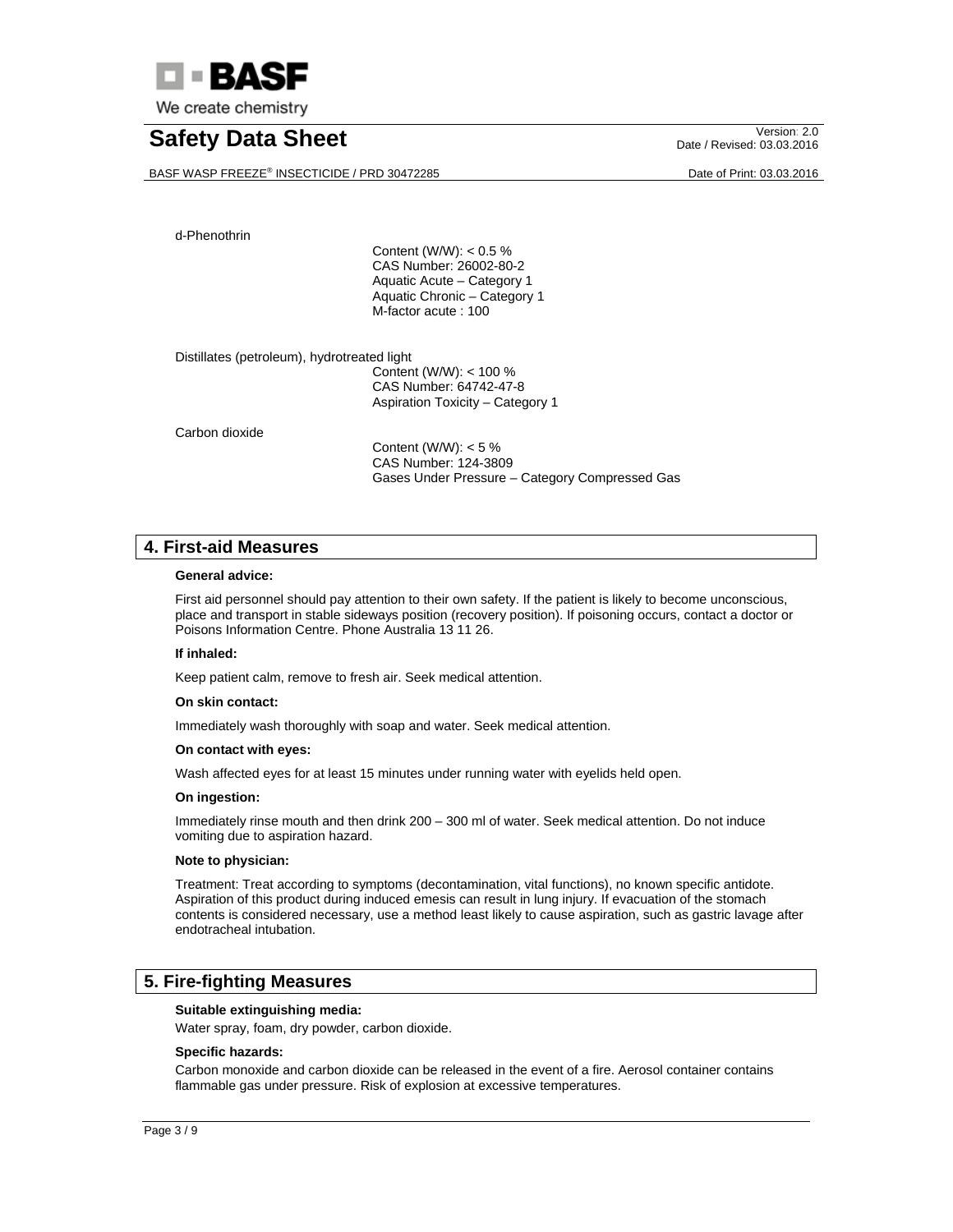

# **Safety Data Sheet** Version: 2.0

BASF WASP FREEZE® INSECTICIDE / PRD 30472285 Date of Print: 03.03.2016

Date / Revised: 03.03.2016

d-Phenothrin

 Content (W/W): < 0.5 % CAS Number: 26002-80-2 Aquatic Acute – Category 1 Aquatic Chronic – Category 1 M-factor acute : 100

Distillates (petroleum), hydrotreated light

 Content (W/W): < 100 % CAS Number: 64742-47-8 Aspiration Toxicity – Category 1

Carbon dioxide

 Content (W/W): < 5 % CAS Number: 124-3809 Gases Under Pressure – Category Compressed Gas

### **4. First-aid Measures**

#### **General advice:**

First aid personnel should pay attention to their own safety. If the patient is likely to become unconscious, place and transport in stable sideways position (recovery position). If poisoning occurs, contact a doctor or Poisons Information Centre. Phone Australia 13 11 26.

#### **If inhaled:**

Keep patient calm, remove to fresh air. Seek medical attention.

#### **On skin contact:**

Immediately wash thoroughly with soap and water. Seek medical attention.

#### **On contact with eyes:**

Wash affected eyes for at least 15 minutes under running water with eyelids held open.

#### **On ingestion:**

Immediately rinse mouth and then drink 200 – 300 ml of water. Seek medical attention. Do not induce vomiting due to aspiration hazard.

#### **Note to physician:**

Treatment: Treat according to symptoms (decontamination, vital functions), no known specific antidote. Aspiration of this product during induced emesis can result in lung injury. If evacuation of the stomach contents is considered necessary, use a method least likely to cause aspiration, such as gastric lavage after endotracheal intubation.

### **5. Fire-fighting Measures**

#### **Suitable extinguishing media:**

Water spray, foam, dry powder, carbon dioxide.

#### **Specific hazards:**

Carbon monoxide and carbon dioxide can be released in the event of a fire. Aerosol container contains flammable gas under pressure. Risk of explosion at excessive temperatures.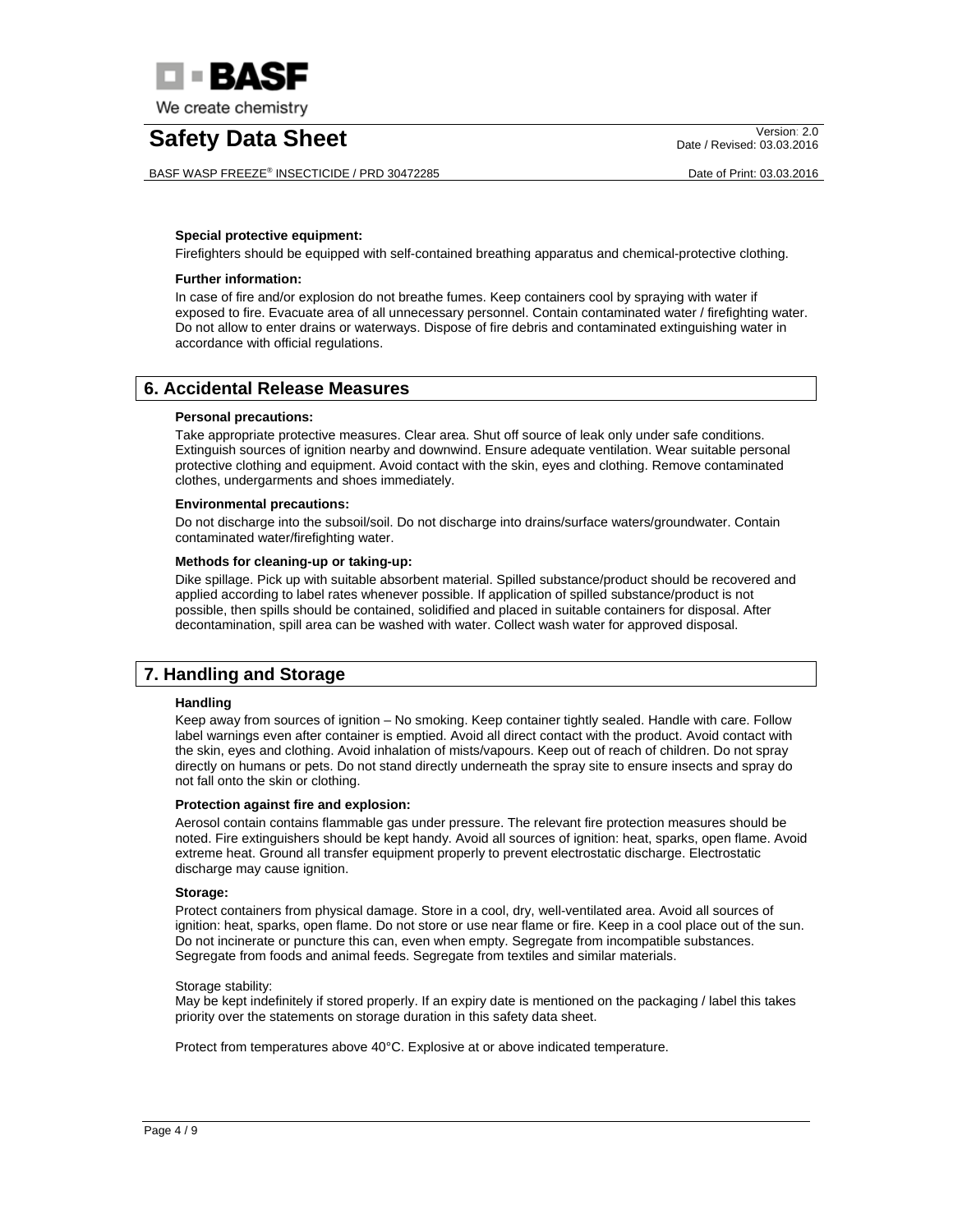

BASF WASP FREEZE® INSECTICIDE / PRD 30472285 Date of Print: 03.03.2016

Date / Revised: 03.03.2016

#### **Special protective equipment:**

Firefighters should be equipped with self-contained breathing apparatus and chemical-protective clothing.

#### **Further information:**

In case of fire and/or explosion do not breathe fumes. Keep containers cool by spraying with water if exposed to fire. Evacuate area of all unnecessary personnel. Contain contaminated water / firefighting water. Do not allow to enter drains or waterways. Dispose of fire debris and contaminated extinguishing water in accordance with official regulations.

### **6. Accidental Release Measures**

#### **Personal precautions:**

Take appropriate protective measures. Clear area. Shut off source of leak only under safe conditions. Extinguish sources of ignition nearby and downwind. Ensure adequate ventilation. Wear suitable personal protective clothing and equipment. Avoid contact with the skin, eyes and clothing. Remove contaminated clothes, undergarments and shoes immediately.

#### **Environmental precautions:**

Do not discharge into the subsoil/soil. Do not discharge into drains/surface waters/groundwater. Contain contaminated water/firefighting water.

#### **Methods for cleaning-up or taking-up:**

Dike spillage. Pick up with suitable absorbent material. Spilled substance/product should be recovered and applied according to label rates whenever possible. If application of spilled substance/product is not possible, then spills should be contained, solidified and placed in suitable containers for disposal. After decontamination, spill area can be washed with water. Collect wash water for approved disposal.

## **7. Handling and Storage**

#### **Handling**

Keep away from sources of ignition – No smoking. Keep container tightly sealed. Handle with care. Follow label warnings even after container is emptied. Avoid all direct contact with the product. Avoid contact with the skin, eyes and clothing. Avoid inhalation of mists/vapours. Keep out of reach of children. Do not spray directly on humans or pets. Do not stand directly underneath the spray site to ensure insects and spray do not fall onto the skin or clothing.

#### **Protection against fire and explosion:**

Aerosol contain contains flammable gas under pressure. The relevant fire protection measures should be noted. Fire extinguishers should be kept handy. Avoid all sources of ignition: heat, sparks, open flame. Avoid extreme heat. Ground all transfer equipment properly to prevent electrostatic discharge. Electrostatic discharge may cause ignition.

#### **Storage:**

Protect containers from physical damage. Store in a cool, dry, well-ventilated area. Avoid all sources of ignition: heat, sparks, open flame. Do not store or use near flame or fire. Keep in a cool place out of the sun. Do not incinerate or puncture this can, even when empty. Segregate from incompatible substances. Segregate from foods and animal feeds. Segregate from textiles and similar materials.

#### Storage stability:

May be kept indefinitely if stored properly. If an expiry date is mentioned on the packaging / label this takes priority over the statements on storage duration in this safety data sheet.

Protect from temperatures above 40°C. Explosive at or above indicated temperature.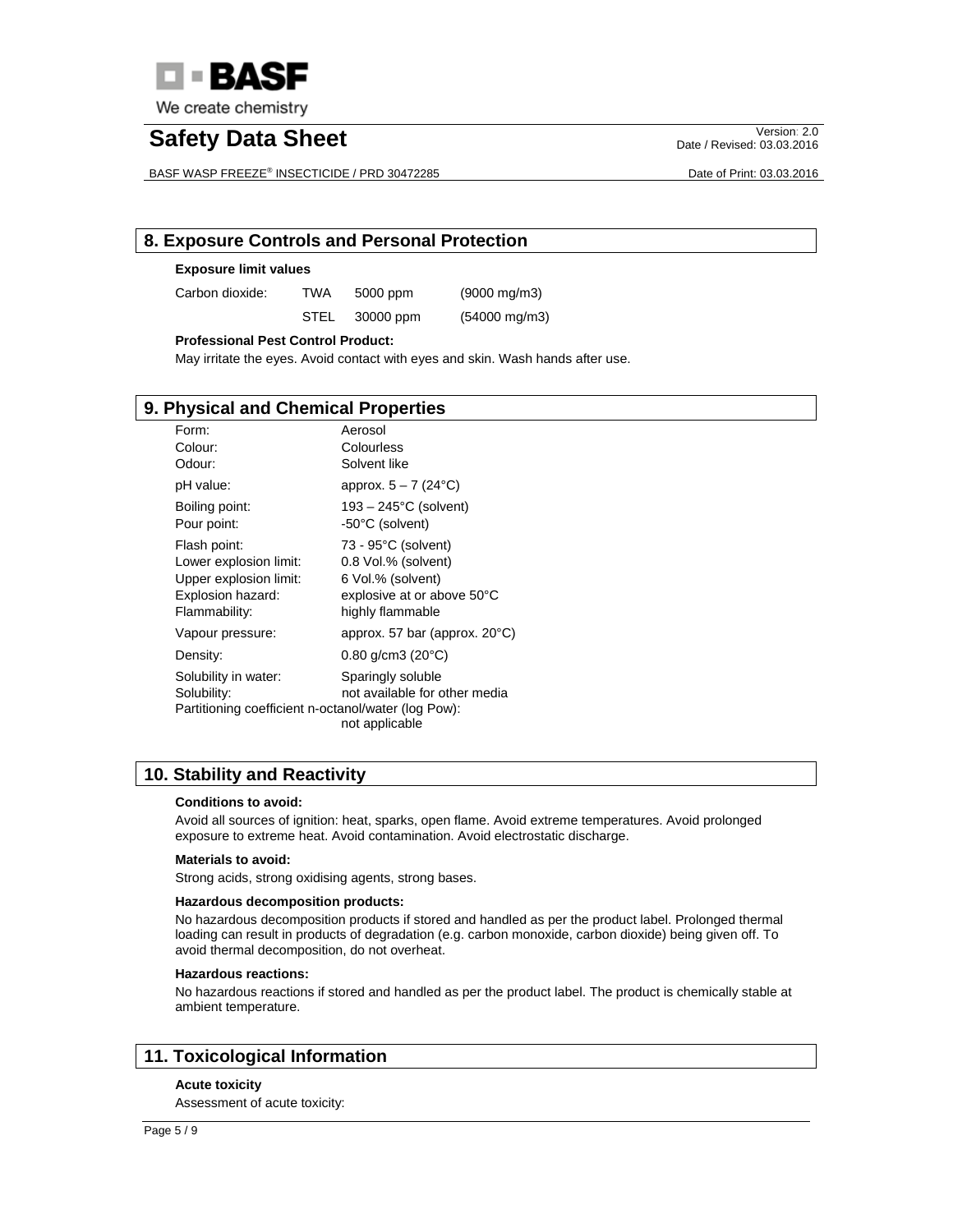

# **Safety Data Sheet** Version: 2.0

BASF WASP FREEZE® INSECTICIDE / PRD 30472285 Date of Print: 03.03.2016

Date / Revised: 03.03.2016

## **8. Exposure Controls and Personal Protection**

#### **Exposure limit values**

Carbon dioxide: TWA 5000 ppm (9000 mg/m3)

STEL 30000 ppm (54000 mg/m3)

#### **Professional Pest Control Product:**

May irritate the eyes. Avoid contact with eyes and skin. Wash hands after use.

### **9. Physical and Chemical Properties**

| Form:                                               | Aerosol                                 |
|-----------------------------------------------------|-----------------------------------------|
| Colour:                                             | Colourless                              |
| Odour:                                              | Solvent like                            |
| pH value:                                           | approx. $5 - 7$ (24 $^{\circ}$ C)       |
| Boiling point:                                      | $193 - 245$ °C (solvent)                |
| Pour point:                                         | -50°C (solvent)                         |
| Flash point:                                        | 73 - 95°C (solvent)                     |
| Lower explosion limit:                              | 0.8 Vol.% (solvent)                     |
| Upper explosion limit:                              | 6 Vol.% (solvent)                       |
| Explosion hazard:                                   | explosive at or above 50°C              |
| Flammability:                                       | highly flammable                        |
| Vapour pressure:                                    | approx. 57 bar (approx. $20^{\circ}$ C) |
| Density:                                            | $0.80$ g/cm3 (20 $^{\circ}$ C)          |
| Solubility in water:                                | Sparingly soluble                       |
| Solubility:                                         | not available for other media           |
| Partitioning coefficient n-octanol/water (log Pow): | not applicable                          |

## **10. Stability and Reactivity**

#### **Conditions to avoid:**

Avoid all sources of ignition: heat, sparks, open flame. Avoid extreme temperatures. Avoid prolonged exposure to extreme heat. Avoid contamination. Avoid electrostatic discharge.

#### **Materials to avoid:**

Strong acids, strong oxidising agents, strong bases.

#### **Hazardous decomposition products:**

No hazardous decomposition products if stored and handled as per the product label. Prolonged thermal loading can result in products of degradation (e.g. carbon monoxide, carbon dioxide) being given off. To avoid thermal decomposition, do not overheat.

#### **Hazardous reactions:**

No hazardous reactions if stored and handled as per the product label. The product is chemically stable at ambient temperature.

## **11. Toxicological Information**

#### **Acute toxicity**

Assessment of acute toxicity: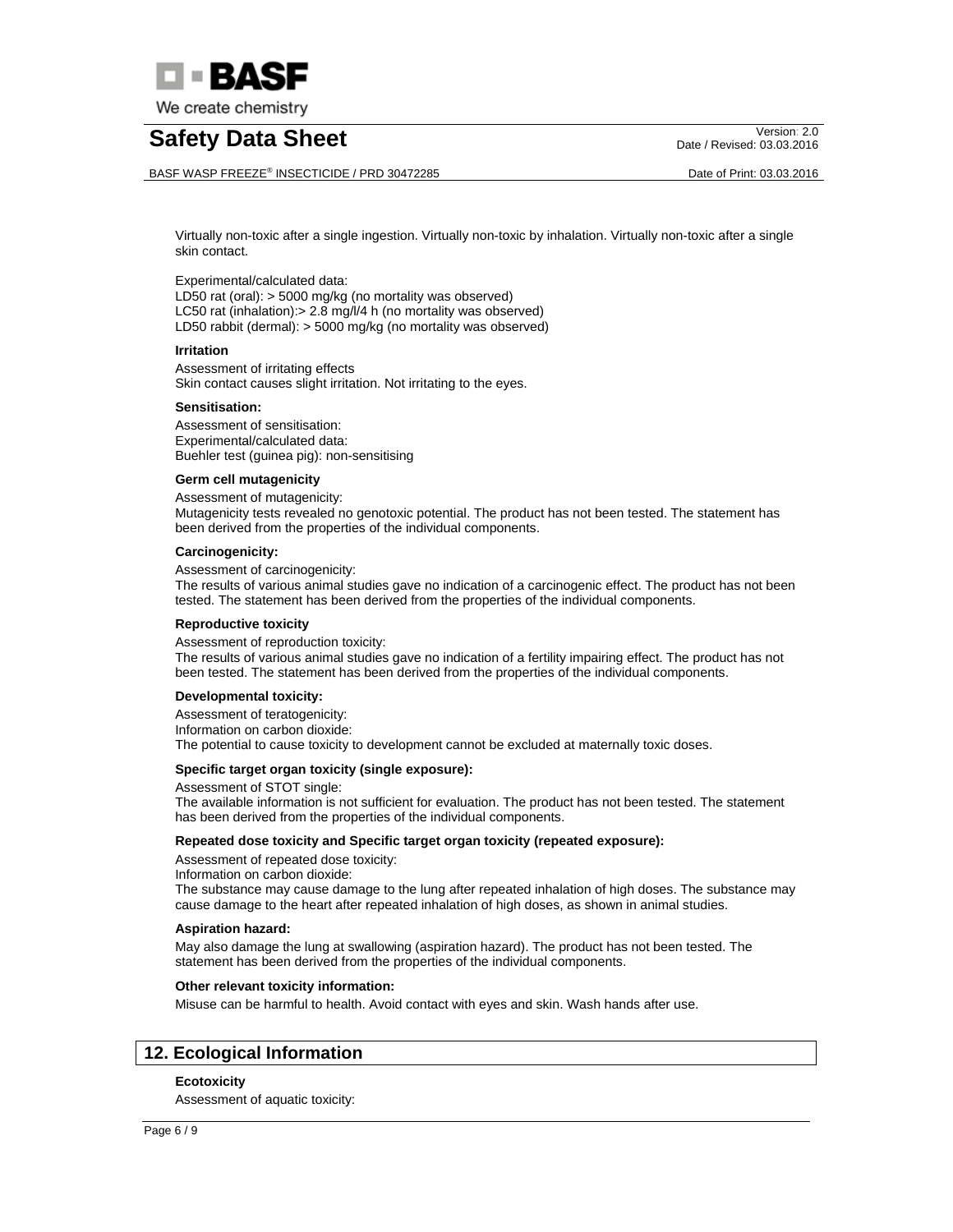

BASF WASP FREEZE® INSECTICIDE / PRD 30472285 Date of Print: 03.03.2016

Date / Revised: 03.03.2016

Virtually non-toxic after a single ingestion. Virtually non-toxic by inhalation. Virtually non-toxic after a single skin contact.

#### Experimental/calculated data:

LD50 rat (oral): > 5000 mg/kg (no mortality was observed) LC50 rat (inhalation): > 2.8 mg/l/4 h (no mortality was observed) LD50 rabbit (dermal): > 5000 mg/kg (no mortality was observed)

#### **Irritation**

Assessment of irritating effects Skin contact causes slight irritation. Not irritating to the eyes.

#### **Sensitisation:**

Assessment of sensitisation: Experimental/calculated data: Buehler test (guinea pig): non-sensitising

#### **Germ cell mutagenicity**

Assessment of mutagenicity: Mutagenicity tests revealed no genotoxic potential. The product has not been tested. The statement has been derived from the properties of the individual components.

#### **Carcinogenicity:**

Assessment of carcinogenicity:

The results of various animal studies gave no indication of a carcinogenic effect. The product has not been tested. The statement has been derived from the properties of the individual components.

#### **Reproductive toxicity**

Assessment of reproduction toxicity:

The results of various animal studies gave no indication of a fertility impairing effect. The product has not been tested. The statement has been derived from the properties of the individual components.

#### **Developmental toxicity:**

Assessment of teratogenicity: Information on carbon dioxide: The potential to cause toxicity to development cannot be excluded at maternally toxic doses.

#### **Specific target organ toxicity (single exposure):**

Assessment of STOT single:

The available information is not sufficient for evaluation. The product has not been tested. The statement has been derived from the properties of the individual components.

#### **Repeated dose toxicity and Specific target organ toxicity (repeated exposure):**

Assessment of repeated dose toxicity:

Information on carbon dioxide:

The substance may cause damage to the lung after repeated inhalation of high doses. The substance may cause damage to the heart after repeated inhalation of high doses, as shown in animal studies.

#### **Aspiration hazard:**

May also damage the lung at swallowing (aspiration hazard). The product has not been tested. The statement has been derived from the properties of the individual components.

#### **Other relevant toxicity information:**

Misuse can be harmful to health. Avoid contact with eyes and skin. Wash hands after use.

## **12. Ecological Information**

#### **Ecotoxicity**

Assessment of aquatic toxicity: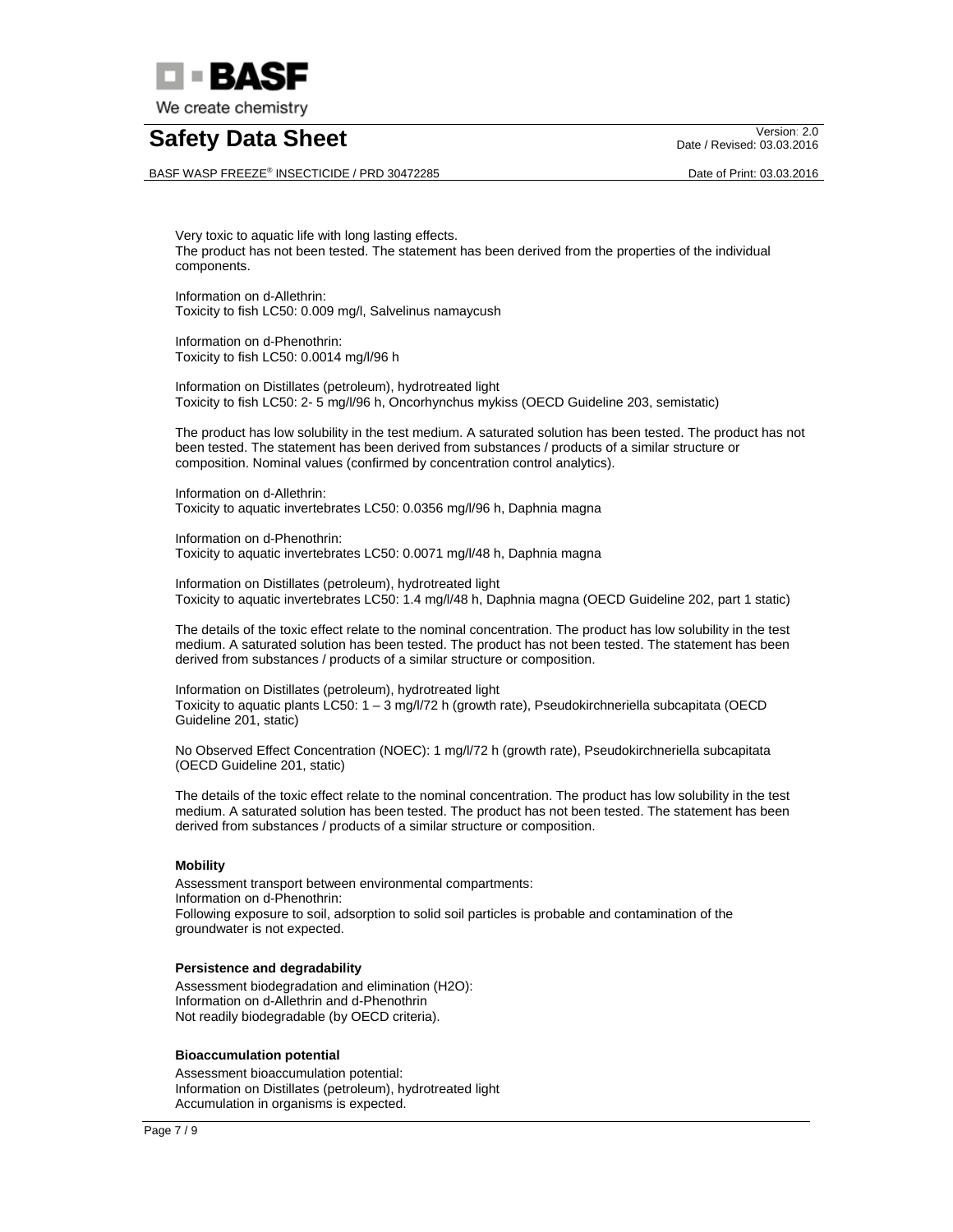

BASF WASP FREEZE® INSECTICIDE / PRD 30472285 Date of Print: 03.03.2016

Date / Revised: 03.03.2016

Very toxic to aquatic life with long lasting effects. The product has not been tested. The statement has been derived from the properties of the individual components.

Information on d-Allethrin: Toxicity to fish LC50: 0.009 mg/l, Salvelinus namaycush

Information on d-Phenothrin: Toxicity to fish LC50: 0.0014 mg/l/96 h

Information on Distillates (petroleum), hydrotreated light Toxicity to fish LC50: 2- 5 mg/l/96 h, Oncorhynchus mykiss (OECD Guideline 203, semistatic)

The product has low solubility in the test medium. A saturated solution has been tested. The product has not been tested. The statement has been derived from substances / products of a similar structure or composition. Nominal values (confirmed by concentration control analytics).

Information on d-Allethrin: Toxicity to aquatic invertebrates LC50: 0.0356 mg/l/96 h, Daphnia magna

Information on d-Phenothrin: Toxicity to aquatic invertebrates LC50: 0.0071 mg/l/48 h, Daphnia magna

Information on Distillates (petroleum), hydrotreated light Toxicity to aquatic invertebrates LC50: 1.4 mg/l/48 h, Daphnia magna (OECD Guideline 202, part 1 static)

The details of the toxic effect relate to the nominal concentration. The product has low solubility in the test medium. A saturated solution has been tested. The product has not been tested. The statement has been derived from substances / products of a similar structure or composition.

Information on Distillates (petroleum), hydrotreated light Toxicity to aquatic plants LC50: 1 – 3 mg/l/72 h (growth rate), Pseudokirchneriella subcapitata (OECD Guideline 201, static)

No Observed Effect Concentration (NOEC): 1 mg/l/72 h (growth rate), Pseudokirchneriella subcapitata (OECD Guideline 201, static)

The details of the toxic effect relate to the nominal concentration. The product has low solubility in the test medium. A saturated solution has been tested. The product has not been tested. The statement has been derived from substances / products of a similar structure or composition.

#### **Mobility**

Assessment transport between environmental compartments: Information on d-Phenothrin: Following exposure to soil, adsorption to solid soil particles is probable and contamination of the groundwater is not expected.

#### **Persistence and degradability**

Assessment biodegradation and elimination (H2O): Information on d-Allethrin and d-Phenothrin Not readily biodegradable (by OECD criteria).

#### **Bioaccumulation potential**

Assessment bioaccumulation potential: Information on Distillates (petroleum), hydrotreated light Accumulation in organisms is expected.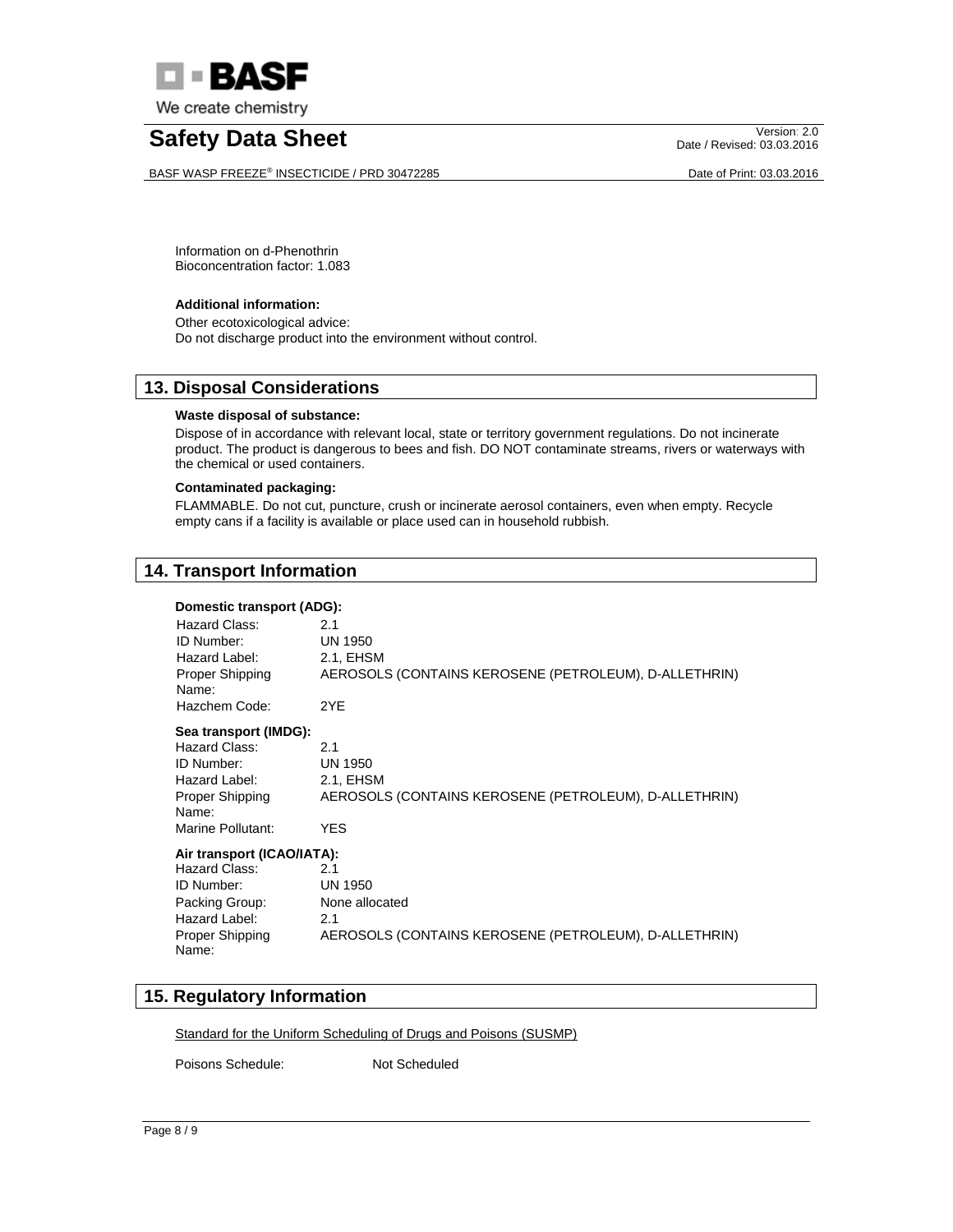

BASF WASP FREEZE® INSECTICIDE / PRD 30472285 Date of Print: 03.03.2016

Date / Revised: 03.03.2016

Information on d-Phenothrin Bioconcentration factor: 1.083

#### **Additional information:**

Other ecotoxicological advice: Do not discharge product into the environment without control.

### **13. Disposal Considerations**

#### **Waste disposal of substance:**

Dispose of in accordance with relevant local, state or territory government regulations. Do not incinerate product. The product is dangerous to bees and fish. DO NOT contaminate streams, rivers or waterways with the chemical or used containers.

#### **Contaminated packaging:**

FLAMMABLE. Do not cut, puncture, crush or incinerate aerosol containers, even when empty. Recycle empty cans if a facility is available or place used can in household rubbish.

## **14. Transport Information**

#### **Domestic transport (ADG):**

| Hazard Class:<br>ID Number:<br>Hazard Label:<br>Proper Shipping<br>Name:<br>Hazchem Code: | 2.1<br><b>UN 1950</b><br>2.1, EHSM<br>AEROSOLS (CONTAINS KEROSENE (PETROLEUM), D-ALLETHRIN)<br>2YE |
|-------------------------------------------------------------------------------------------|----------------------------------------------------------------------------------------------------|
| Sea transport (IMDG):                                                                     |                                                                                                    |
| Hazard Class:                                                                             | 2.1                                                                                                |
| ID Number:                                                                                | <b>UN 1950</b>                                                                                     |
| Hazard Label:                                                                             | 2.1, EHSM                                                                                          |
| Proper Shipping<br>Name:                                                                  | AEROSOLS (CONTAINS KEROSENE (PETROLEUM), D-ALLETHRIN)                                              |
| Marine Pollutant:                                                                         | <b>YES</b>                                                                                         |
| Air transport (ICAO/IATA):                                                                |                                                                                                    |
| Hazard Class:                                                                             | 2.1                                                                                                |
| ID Number:                                                                                | <b>UN 1950</b>                                                                                     |
| Packing Group:                                                                            | None allocated                                                                                     |
| Hazard Label:                                                                             | 2.1                                                                                                |
| Proper Shipping<br>Name:                                                                  | AEROSOLS (CONTAINS KEROSENE (PETROLEUM), D-ALLETHRIN)                                              |

## **15. Regulatory Information**

Standard for the Uniform Scheduling of Drugs and Poisons (SUSMP)

Poisons Schedule: Not Scheduled